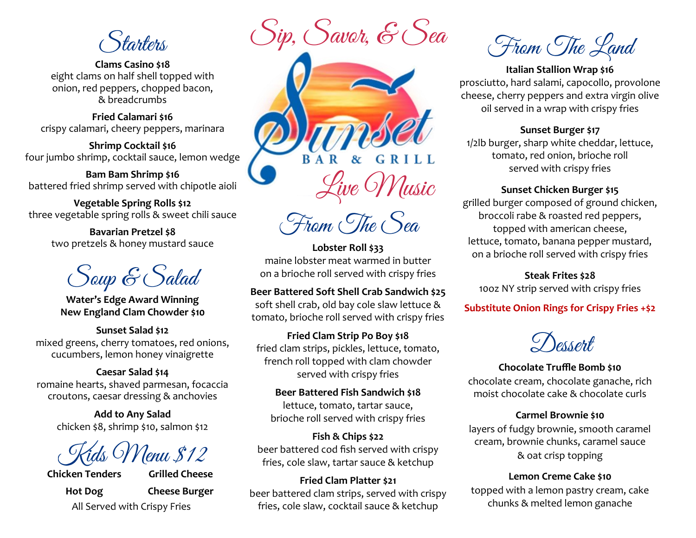tarters

**Clams Casino \$18** eight clams on half shell topped with onion, red peppers, chopped bacon, & breadcrumbs

**Fried Calamari \$16** crispy calamari, cheery peppers, marinara

**Shrimp Cocktail \$16** four jumbo shrimp, cocktail sauce, lemon wedge

**Bam Bam Shrimp \$16** battered fried shrimp served with chipotle aioli

**Vegetable Spring Rolls \$12** three vegetable spring rolls & sweet chili sauce

> **Bavarian Pretzel \$8**  two pretzels & honey mustard sauce

Soup & Salad

**Water's Edge Award Winning New England Clam Chowder \$10**

**Sunset Salad \$12** mixed greens, cherry tomatoes, red onions, cucumbers, lemon honey vinaigrette

#### **Caesar Salad \$14**

romaine hearts, shaved parmesan, focaccia croutons, caesar dressing & anchovies

> **Add to Any Salad** chicken \$8, shrimp \$10, salmon \$12

<u>lenu \$12</u>

**Chicken Tenders Hot Dog**

**Grilled Cheese Cheese Burger** 

Sip, Savor, & Sea



From The Sea

**Lobster Roll \$33** maine lobster meat warmed in butter on a brioche roll served with crispy fries

#### **Beer Battered Soft Shell Crab Sandwich \$25**

soft shell crab, old bay cole slaw lettuce & tomato, brioche roll served with crispy fries

**Fried Clam Strip Po Boy \$18** fried clam strips, pickles, lettuce, tomato, french roll topped with clam chowder served with crispy fries

**Beer Battered Fish Sandwich \$18** lettuce, tomato, tartar sauce, brioche roll served with crispy fries

**Fish & Chips \$22** beer battered cod fish served with crispy fries, cole slaw, tartar sauce & ketchup

## **Fried Clam Platter \$21** beer battered clam strips, served with crispy fries, cole slaw, cocktail sauce & ketchup chunks & melted lemon ganache All Served with Crispy Fries

From The Land

## **Italian Stallion Wrap \$16** prosciutto, hard salami, capocollo, provolone cheese, cherry peppers and extra virgin olive oil served in a wrap with crispy fries

## **Sunset Burger \$17**

1/2lb burger, sharp white cheddar, lettuce, tomato, red onion, brioche roll served with crispy fries

## **Sunset Chicken Burger \$15**

grilled burger composed of ground chicken, broccoli rabe & roasted red peppers, topped with american cheese, lettuce, tomato, banana pepper mustard, on a brioche roll served with crispy fries

**Steak Frites \$28** 10oz NY strip served with crispy fries

## **Substitute Onion Rings for Crispy Fries +\$2**

 $\mathcal{D}$ essent

## **Chocolate Truffle Bomb \$10**

chocolate cream, chocolate ganache, rich moist chocolate cake & chocolate curls

#### **Carmel Brownie \$10**

layers of fudgy brownie, smooth caramel cream, brownie chunks, caramel sauce & oat crisp topping

## **Lemon Creme Cake \$10**

topped with a lemon pastry cream, cake